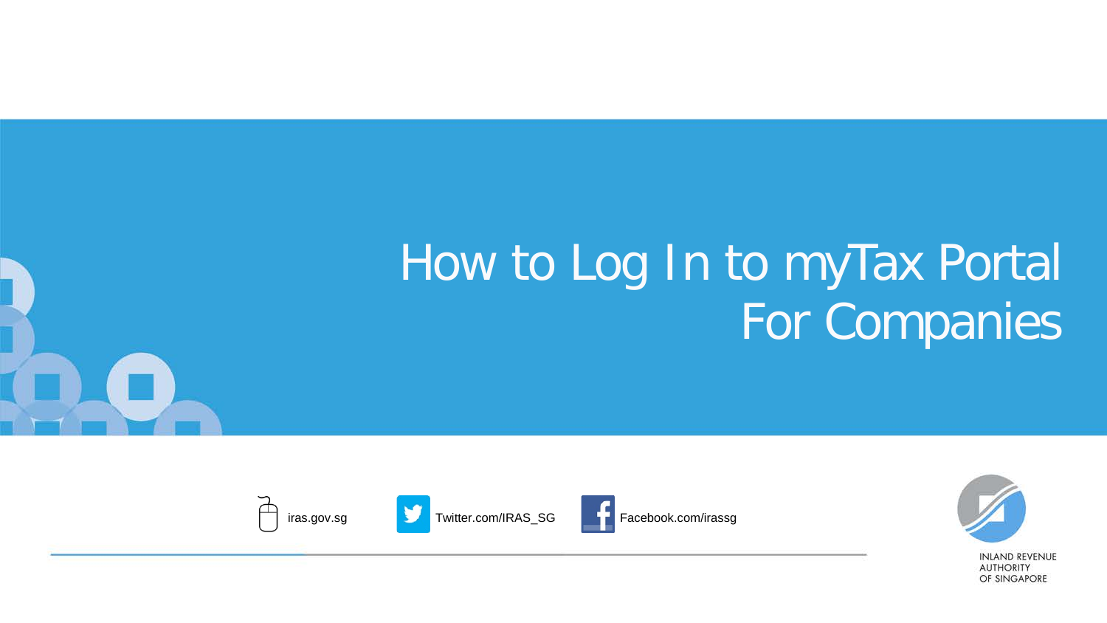# How to Log In to myTax Portal For Companies







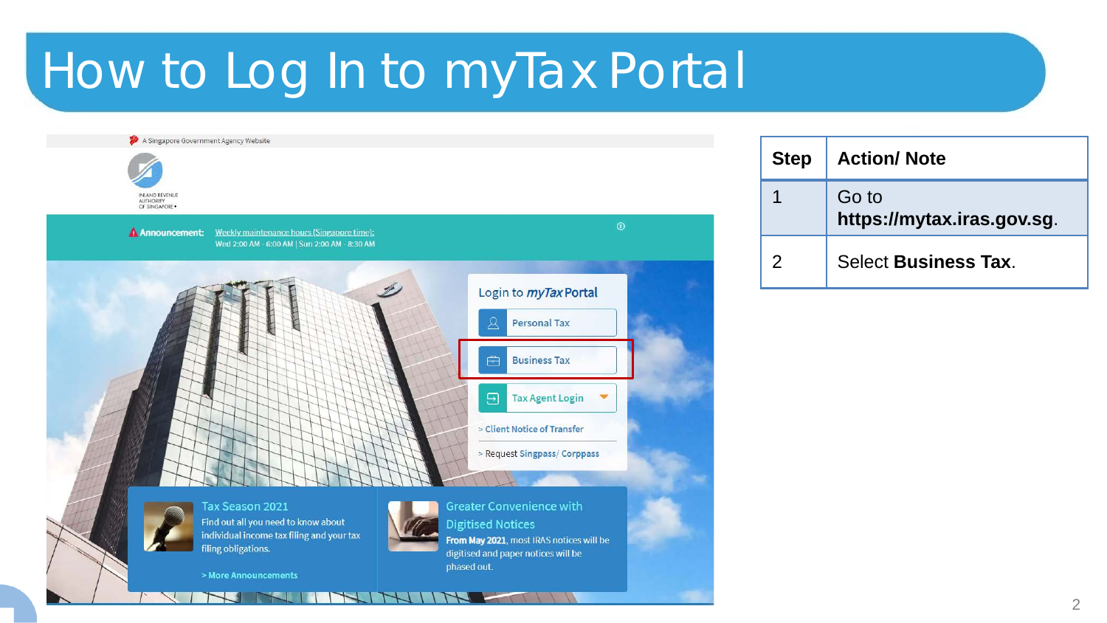A Singapore Government Agency Website INLAND REVENUE OF SINGAPORE. **A Announcement:** Weekly maintenance hours (Singapore time): Wed 2:00 AM - 6:00 AM | Sun 2:00 AM - 8:30 AM Login to *myTax* Portal **Personal Tax Business Tax** ு  $\overline{\Xi}$ **Tax Agent Login** > Client Notice of Transfer > Request Singpass/ Corppass Tax Season 2021 **Greater Convenience with** Find out all you need to know about **Digitised Notices** individual income tax filing and your tax From May 2021, most IRAS notices will be filing obligations. digitised and paper notices will be phased out. > More Announcements

| <b>Step</b>   | <b>Action/Note</b>                  |
|---------------|-------------------------------------|
|               | Go to<br>https://mytax.iras.gov.sg. |
| $\mathcal{P}$ | <b>Select Business Tax.</b>         |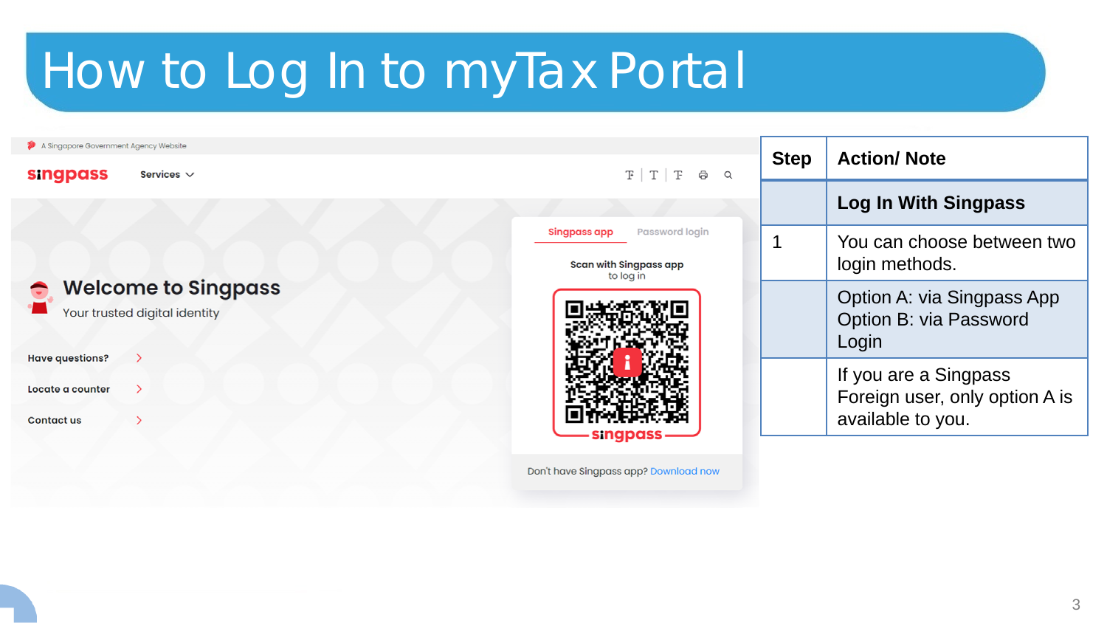| A Singapore Government Agency Website<br><b>singpass</b><br>Services $\vee$ | $F$ $T$ $F$ $\Theta$<br>$\alpha$                                      | <b>Step</b> | <b>Action/Note</b>                                                           |
|-----------------------------------------------------------------------------|-----------------------------------------------------------------------|-------------|------------------------------------------------------------------------------|
|                                                                             |                                                                       |             | Log In With Singpass                                                         |
|                                                                             | Password login<br>Singpass app<br>Scan with Singpass app<br>to log in |             | You can choose between two<br>login methods.                                 |
| <b>Welcome to Singpass</b><br>Your trusted digital identity                 |                                                                       |             | Option A: via Singpass App<br>Option B: via Password<br>Login                |
| <b>Have questions?</b><br>Locate a counter<br><b>Contact us</b>             | singpass                                                              |             | If you are a Singpass<br>Foreign user, only option A is<br>available to you. |

Don't have Singpass app? Download now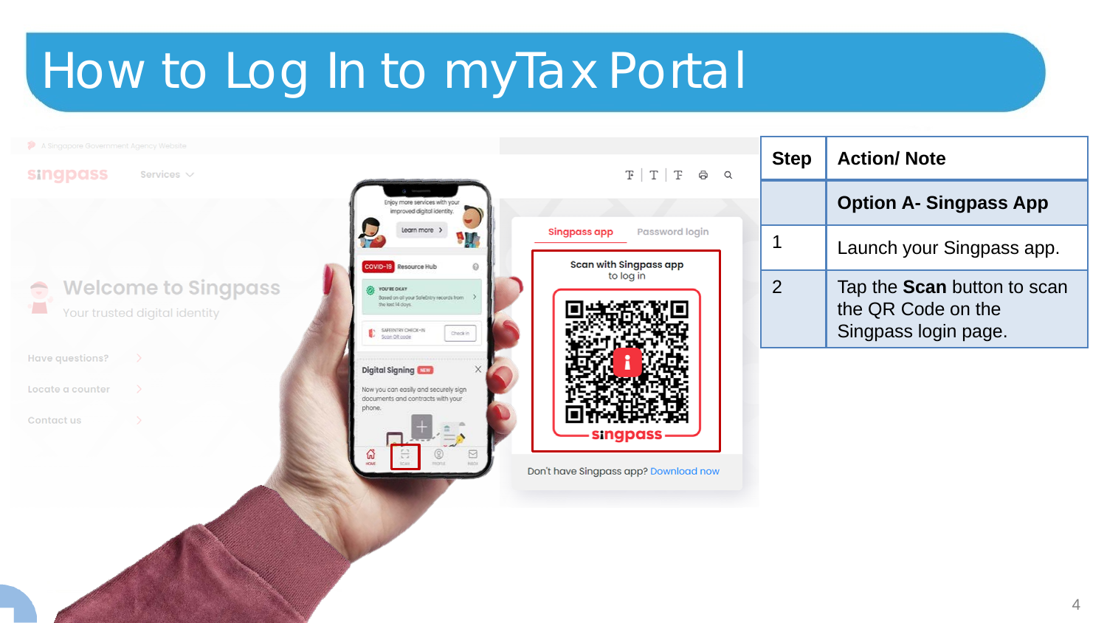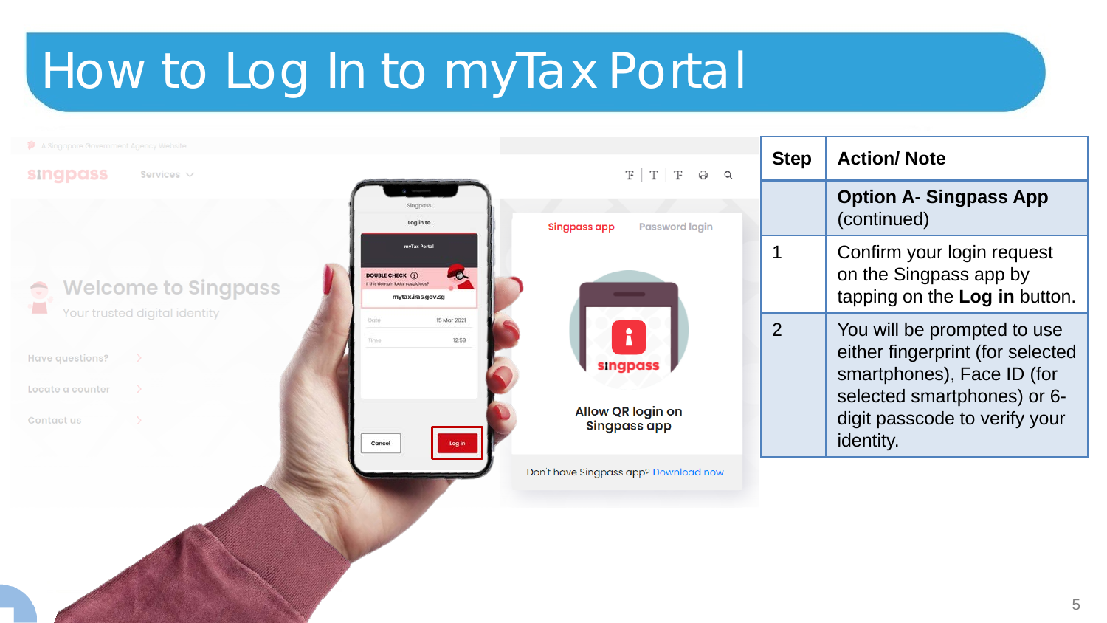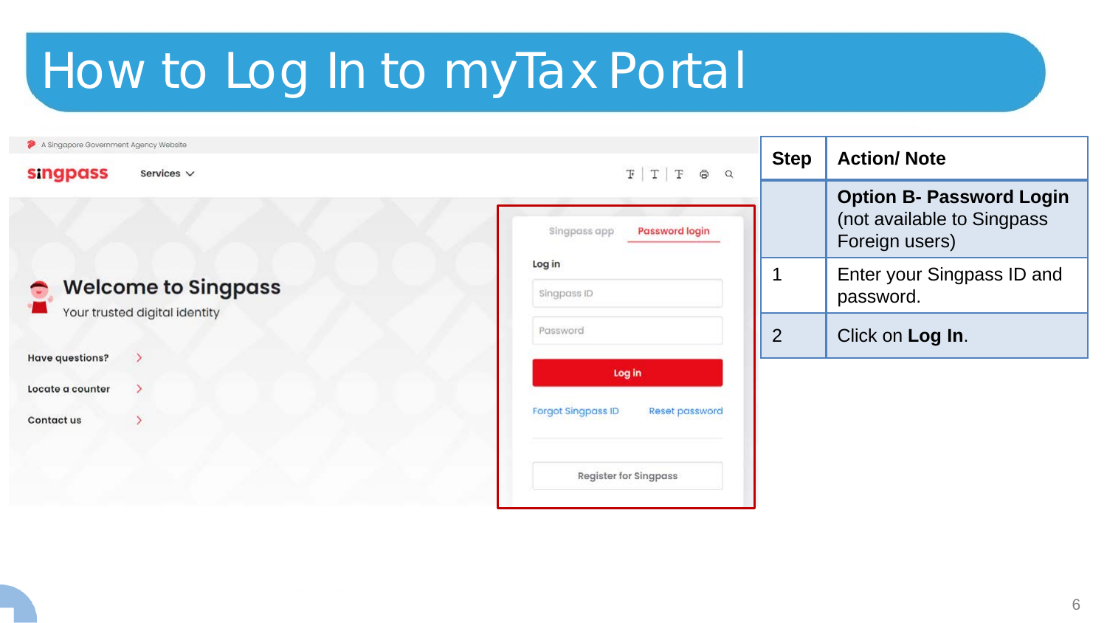| A Singapore Government Agency Website<br><b>singpass</b><br>Services $\vee$ | $F T F \oplus Q$                      | <b>Step</b>    | <b>Action/Note</b>                                                              |
|-----------------------------------------------------------------------------|---------------------------------------|----------------|---------------------------------------------------------------------------------|
|                                                                             | <b>Password login</b><br>Singpass app |                | <b>Option B- Password Login</b><br>(not available to Singpass<br>Foreign users) |
| <b>Welcome to Singpass</b><br>Your trusted digital identity                 | Log in<br>Singpass ID                 |                | Enter your Singpass ID and<br>password.                                         |
|                                                                             | Password                              | $\overline{2}$ | Click on Log In.                                                                |
| <b>Have questions?</b><br>Locate a counter                                  | Log in                                |                |                                                                                 |
| Contact us                                                                  | Forgot Singpass ID<br>Reset password  |                |                                                                                 |
|                                                                             | <b>Register for Singpass</b>          |                |                                                                                 |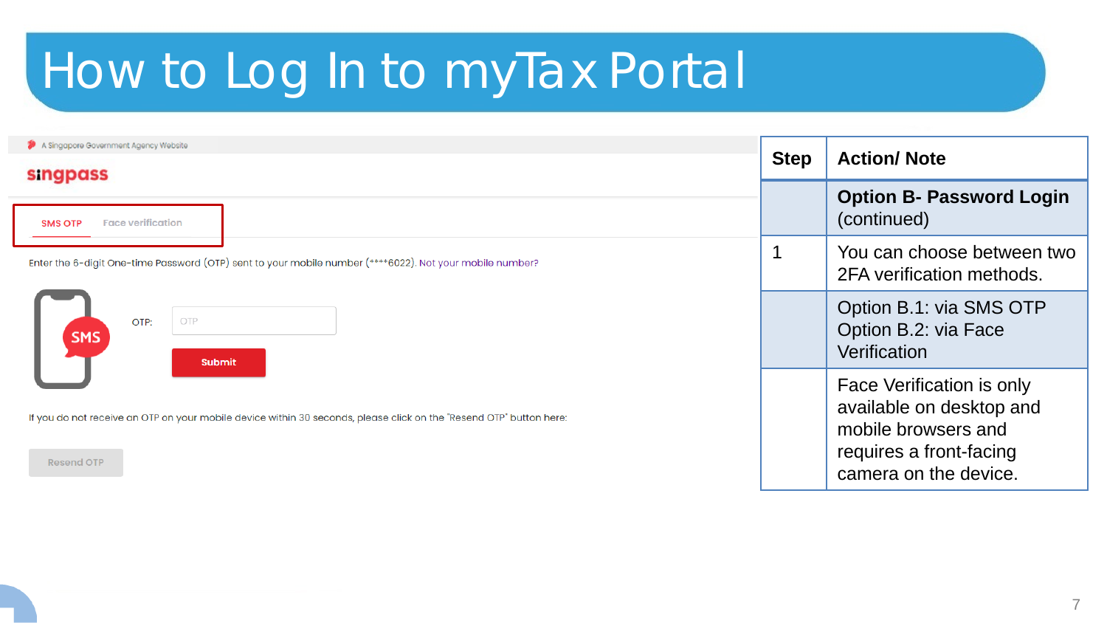| A Singapore Government Agency Website<br><b>singpass</b>                                                                                 | <b>Step</b> | <b>Action/Note</b>                                                                                                               |
|------------------------------------------------------------------------------------------------------------------------------------------|-------------|----------------------------------------------------------------------------------------------------------------------------------|
| <b>Face verification</b><br><b>SMS OTP</b>                                                                                               |             | <b>Option B- Password Login</b><br>(continued)                                                                                   |
| Enter the 6-digit One-time Password (OTP) sent to your mobile number (****6022). Not your mobile number?                                 |             | You can choose between two<br>2FA verification methods.                                                                          |
| OTP<br>OTP:<br>SMS<br><b>Submit</b>                                                                                                      |             | Option B.1: via SMS OTP<br>Option B.2: via Face<br>Verification                                                                  |
| If you do not receive an OTP on your mobile device within 30 seconds, please click on the "Resend OTP" button here:<br><b>Resend OTP</b> |             | Face Verification is only<br>available on desktop and<br>mobile browsers and<br>requires a front-facing<br>camera on the device. |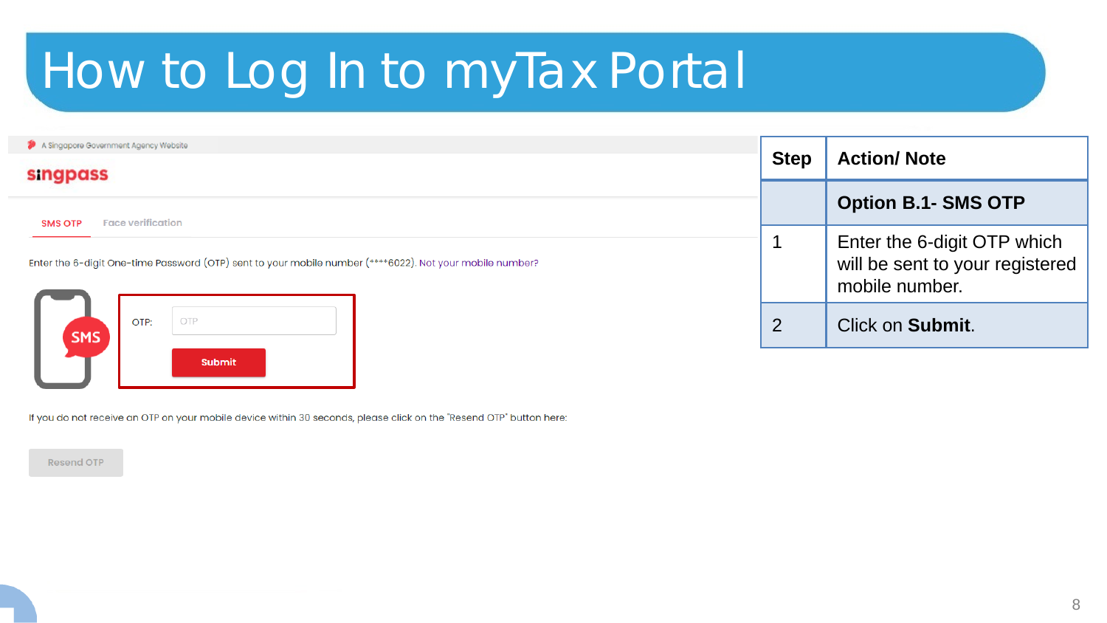| <b>singpass</b><br><b>Face verification</b><br><b>SMS OTP</b><br>Enter the 6-digit One-time Password (OTP) sent to your mobile number (****6022). Not your mobile number? | <b>Option B.1- SMS OTP</b><br>Enter the 6-digit OTP which |
|---------------------------------------------------------------------------------------------------------------------------------------------------------------------------|-----------------------------------------------------------|
|                                                                                                                                                                           |                                                           |
|                                                                                                                                                                           | will be sent to your registered<br>mobile number.         |
| OTP<br>OTP:<br>$\overline{2}$<br><b>SMS</b>                                                                                                                               | Click on <b>Submit.</b>                                   |

If you do not receive an OTP on your mobile device within 30 seconds, please click on the "Resend OTP" button here:

**Resend OTP**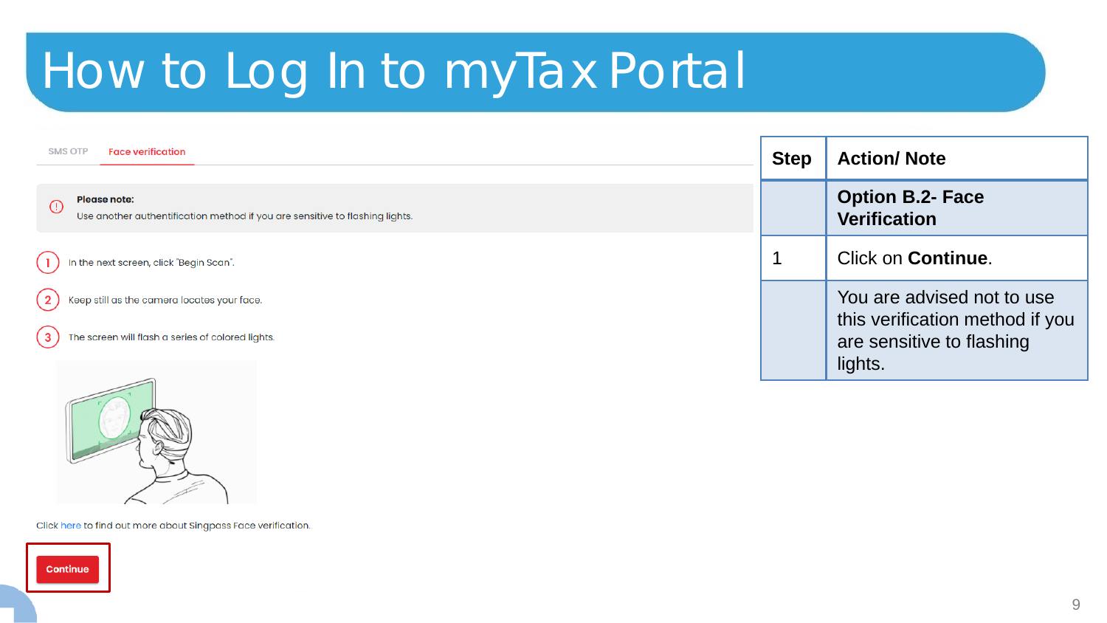| <b>SMS OTP</b><br><b>Face verification</b>                                                                     | <b>Step</b> | <b>Action/Note</b>                                                                         |
|----------------------------------------------------------------------------------------------------------------|-------------|--------------------------------------------------------------------------------------------|
| <b>Please note:</b><br>$\odot$<br>Use another authentification method if you are sensitive to flashing lights. |             | <b>Option B.2- Face</b><br><b>Verification</b>                                             |
| In the next screen, click "Begin Scan".                                                                        |             | Click on Continue.                                                                         |
| Keep still as the camera locates your face.<br>The screen will flash a series of colored lights.<br>3          |             | You are advised not to use<br>this verification method if you<br>are sensitive to flashing |
| $\sim$                                                                                                         |             | lights.                                                                                    |



Click here to find out more about Singpass Face verification.

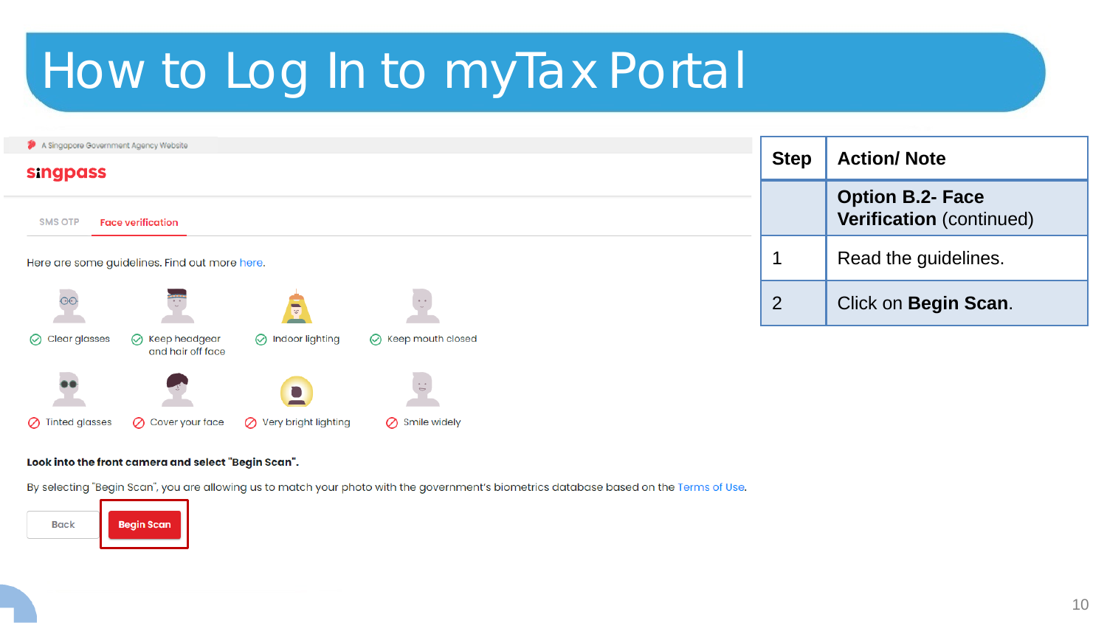| A Singapore Government Agency Website<br><b>singpass</b> |                                               |                           |                             | <b>Step</b>    | <b>Action/Note</b>                                  |
|----------------------------------------------------------|-----------------------------------------------|---------------------------|-----------------------------|----------------|-----------------------------------------------------|
| <b>SMS OTP</b>                                           | <b>Face verification</b>                      |                           |                             |                | <b>Option B.2- Face</b><br>Verification (continued) |
|                                                          | Here are some guidelines. Find out more here. |                           |                             |                | Read the guidelines.                                |
| $\overline{\circ}$                                       | ana.<br>.                                     |                           | $\sim$ $\sim$               | $\overline{2}$ | Click on Begin Scan.                                |
| $\oslash$ Clear glasses                                  | ◯ Keep headgear<br>and hair off face          | $\oslash$ Indoor lighting | $\oslash$ Keep mouth closed |                |                                                     |
| $\bullet$                                                |                                               | <b>College</b>            | $\sim$ $\sim$               |                |                                                     |

#### Look into the front camera and select "Begin Scan".

 $\oslash$  Cover your face

By selecting "Begin Scan", you are allowing us to match your photo with the government's biometrics database based on the Terms of Use.

 $\oslash$  Smile widely

◯ Very bright lighting



 $\oslash$  Tinted glasses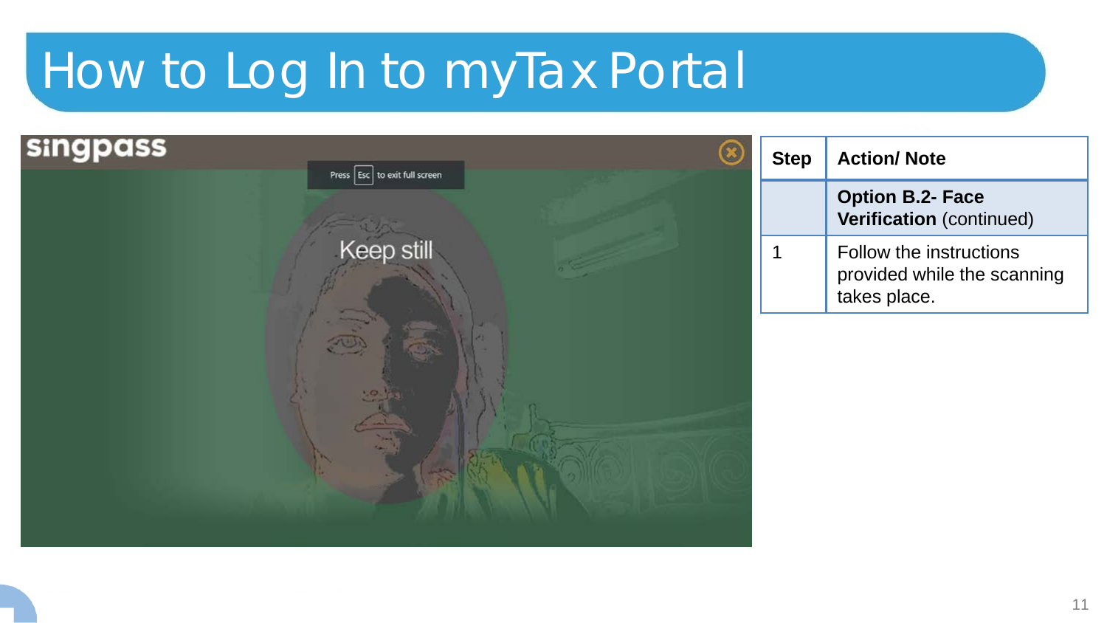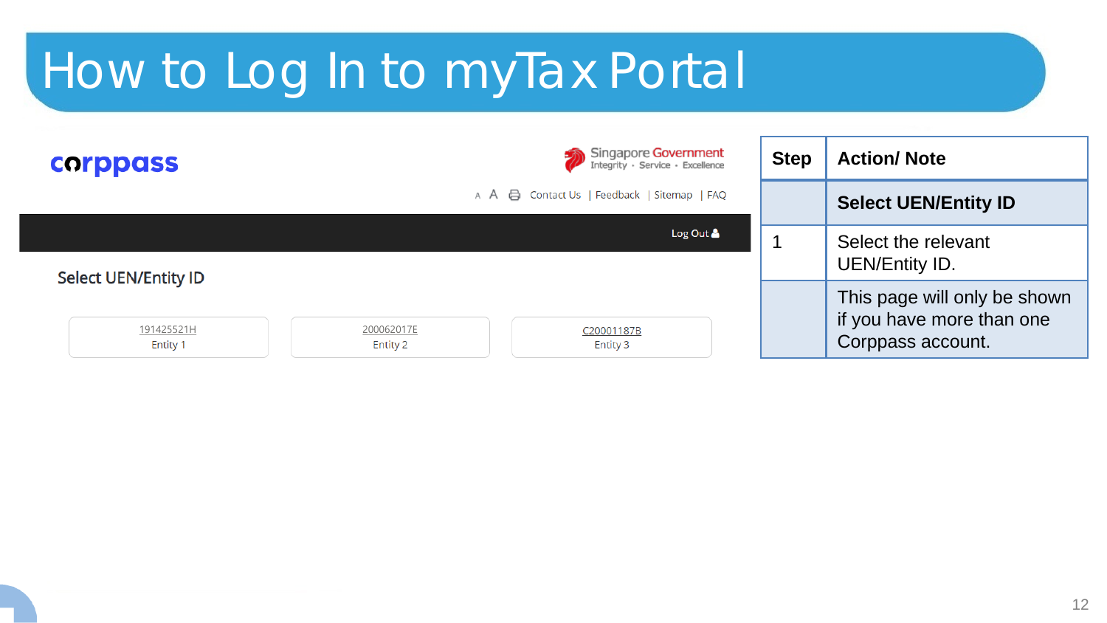| <b>corppass</b>               |                        | Singapore Government                        | <b>Step</b> | <b>Action/Note</b>                                                             |
|-------------------------------|------------------------|---------------------------------------------|-------------|--------------------------------------------------------------------------------|
|                               |                        | A A A Contact Us   Feedback   Sitemap   FAQ |             | <b>Select UEN/Entity ID</b>                                                    |
|                               |                        | Log Out $\triangle$                         |             | Select the relevant                                                            |
| <b>Select UEN/Entity ID</b>   |                        |                                             |             | UEN/Entity ID.                                                                 |
| 191425521H<br><b>Entity 1</b> | 200062017E<br>Entity 2 | C20001187B<br>Entity 3                      |             | This page will only be shown<br>if you have more than one<br>Corppass account. |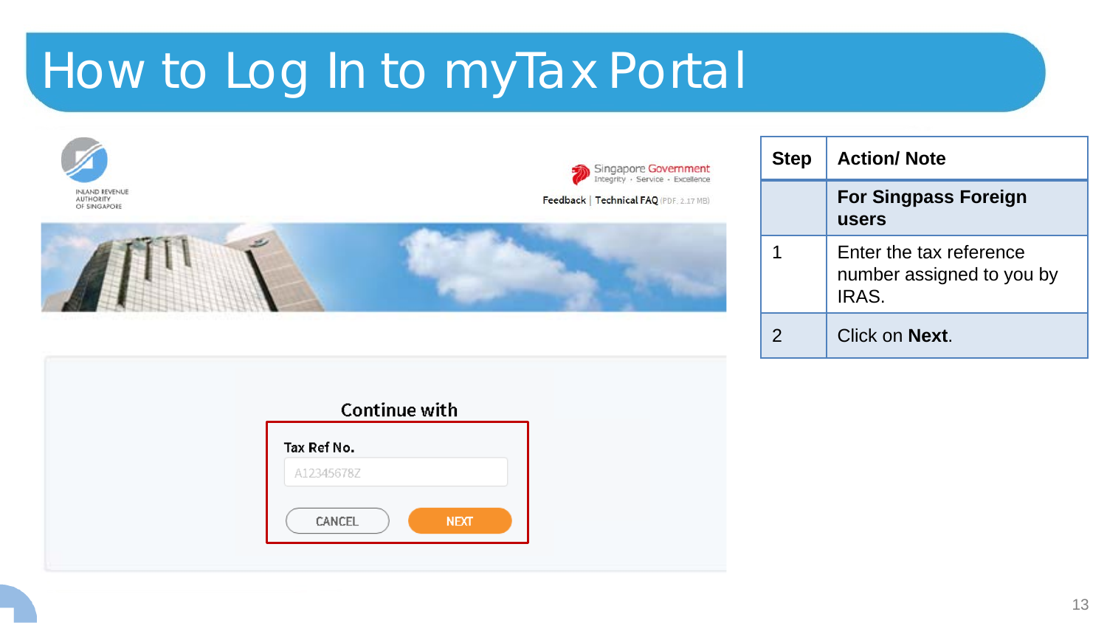

| <b>Step</b>   | <b>Action/Note</b>                                            |
|---------------|---------------------------------------------------------------|
|               | <b>For Singpass Foreign</b><br>users                          |
|               | Enter the tax reference<br>number assigned to you by<br>IRAS. |
| $\mathcal{P}$ | Click on <b>Next</b> .                                        |

| <b>Continue with</b> |             |  |
|----------------------|-------------|--|
| Tax Ref No.          |             |  |
| A12345678Z           |             |  |
| CANCEL               | <b>NEXT</b> |  |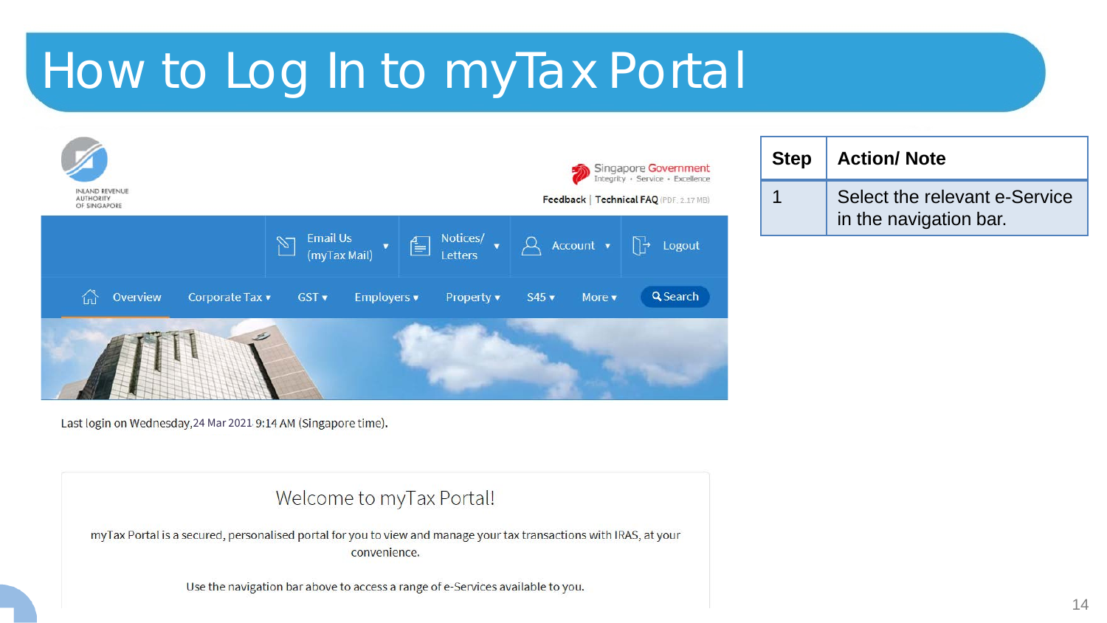

**Step Action/ Note** 1 Select the relevant e-Service in the navigation bar.

Last login on Wednesday, 24 Mar 2021 9:14 AM (Singapore time).